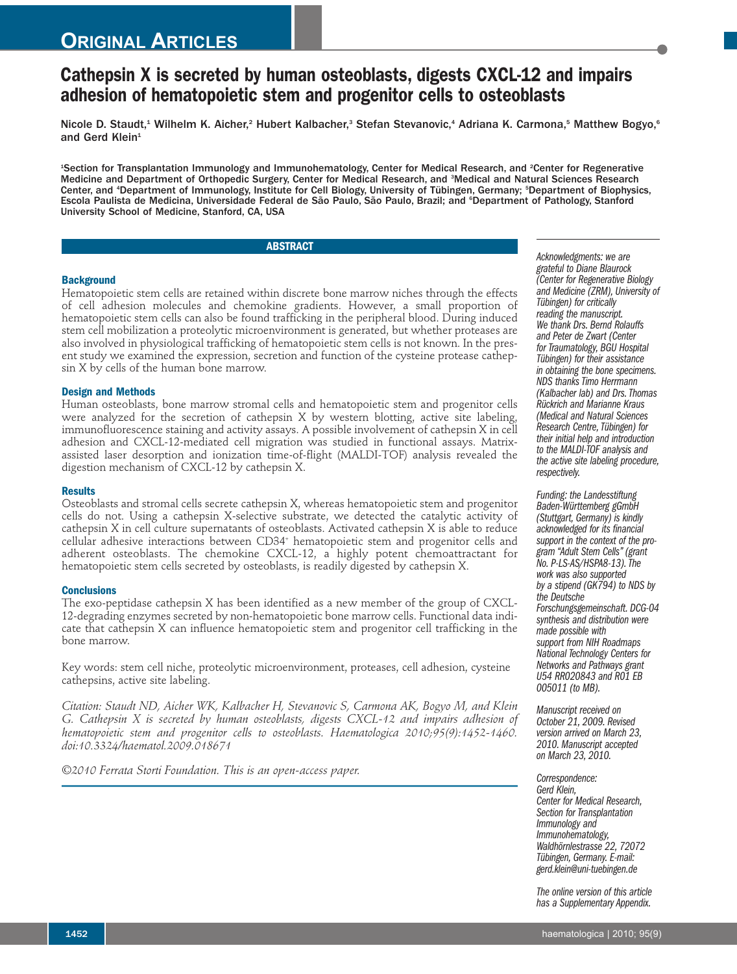# **ORIGINAL ARTICLES**

# **Cathepsin X is secreted by human osteoblasts, digests CXCL-12 and impairs adhesion of hematopoietic stem and progenitor cells to osteoblasts**

Nicole D. Staudt,<sup>1</sup> Wilhelm K. Aicher,<sup>2</sup> Hubert Kalbacher,<sup>3</sup> Stefan Stevanovic,<sup>4</sup> Adriana K. Carmona,<sup>5</sup> Matthew Bogyo,<sup>6</sup> and Gerd Klein<sup>1</sup>

<sup>1</sup>Section for Transplantation Immunology and Immunohematology, Center for Medical Research, and <sup>2</sup>Center for Regenerative Medicine and Department of Orthopedic Surgery, Center for Medical Research, and <sup>3</sup>Medical and Natural Sciences Research Center, and <sup>4</sup> Department of Immunology, Institute for Cell Biology, University of Tübingen, Germany; <sup>5</sup> Department of Biophysics, Escola Paulista de Medicina, Universidade Federal de São Paulo, São Paulo, Brazil; and <sup>6</sup>Department of Pathology, Stanford University School of Medicine, Stanford, CA, USA

**ABSTRACT**

#### **Background**

Hematopoietic stem cells are retained within discrete bone marrow niches through the effects of cell adhesion molecules and chemokine gradients. However, a small proportion of hematopoietic stem cells can also be found trafficking in the peripheral blood. During induced stem cell mobilization a proteolytic microenvironment is generated, but whether proteases are also involved in physiological trafficking of hematopoietic stem cells is not known. In the present study we examined the expression, secretion and function of the cysteine protease cathepsin X by cells of the human bone marrow.

# **Design and Methods**

Human osteoblasts, bone marrow stromal cells and hematopoietic stem and progenitor cells were analyzed for the secretion of cathepsin X by western blotting, active site labeling, immunofluorescence staining and activity assays. A possible involvement of cathepsin X in cell adhesion and CXCL-12-mediated cell migration was studied in functional assays. Matrixassisted laser desorption and ionization time-of-flight (MALDI-TOF) analysis revealed the digestion mechanism of CXCL-12 by cathepsin X.

#### **Results**

Osteoblasts and stromal cells secrete cathepsin X, whereas hematopoietic stem and progenitor cells do not. Using a cathepsin X-selective substrate, we detected the catalytic activity of cathepsin X in cell culture supernatants of osteoblasts. Activated cathepsin X is able to reduce cellular adhesive interactions between CD34+ hematopoietic stem and progenitor cells and adherent osteoblasts. The chemokine CXCL-12, a highly potent chemoattractant for hematopoietic stem cells secreted by osteoblasts, is readily digested by cathepsin X.

#### **Conclusions**

The exo-peptidase cathepsin X has been identified as a new member of the group of CXCL-12-degrading enzymes secreted by non-hematopoietic bone marrow cells. Functional data indicate that cathepsin X can influence hematopoietic stem and progenitor cell trafficking in the bone marrow.

Key words: stem cell niche, proteolytic microenvironment, proteases, cell adhesion, cysteine cathepsins, active site labeling.

*Citation: Staudt ND, Aicher WK, Kalbacher H, Stevanovic S, Carmona AK, Bogyo M, and Klein G. Cathepsin X is secreted by human osteoblasts, digests CXCL-12 and impairs adhesion of hematopoietic stem and progenitor cells to osteoblasts. Haematologica 2010;95(9):1452-1460. doi:10.3324/haematol.2009.018671*

*©2010 Ferrata Storti Foundation. This is an open-access paper.*

*Acknowledgments: we are grateful to Diane Blaurock (Center for Regenerative Biology and Medicine (ZRM), University of Tübingen) for critically reading the manuscript. We thank Drs. Bernd Rolauffs and Peter de Zwart (Center forTraumatology, BGU Hospital Tübingen) for their assistance in obtaining the bone specimens. NDS thanksTimo Herrmann (Kalbacher lab) and Drs.Thomas Rückrich and Marianne Kraus (Medical and Natural Sciences Research Centre,Tübingen) for their initial help and introduction to the MALDI-TOF analysis and the active site labeling procedure, respectively.*

*Funding: the Landesstiftung Baden-Württemberg gGmbH (Stuttgart, Germany) is kindly acknowledged for its financial support in the context of the pro- gram "Adult Stem Cells" (grant No. P-LS-AS/HSPA8-13).The work was also supported by a stipend (GK794) to NDS by the Deutsche Forschungsgemeinschaft. DCG-04 synthesis and distribution were made possible with support from NIH Roadmaps NationalTechnology Centers for Networks and Pathways grant U54 RR020843 and R01 EB 005011 (to MB).*

*Manuscript received on October 21, 2009. Revised version arrived on March 23, 2010. Manuscript accepted on March 23, 2010.*

*Correspondence: Center for Medical Research,*<br>Section for *Transplantation Immunology and Immunohematology, Waldhörnlestrasse 22, <sup>72072</sup> Tübingen, Germany.E-mail: gerd.klein@uni-tuebingen.de*

*The online version of this article has a Supplementary Appendix.*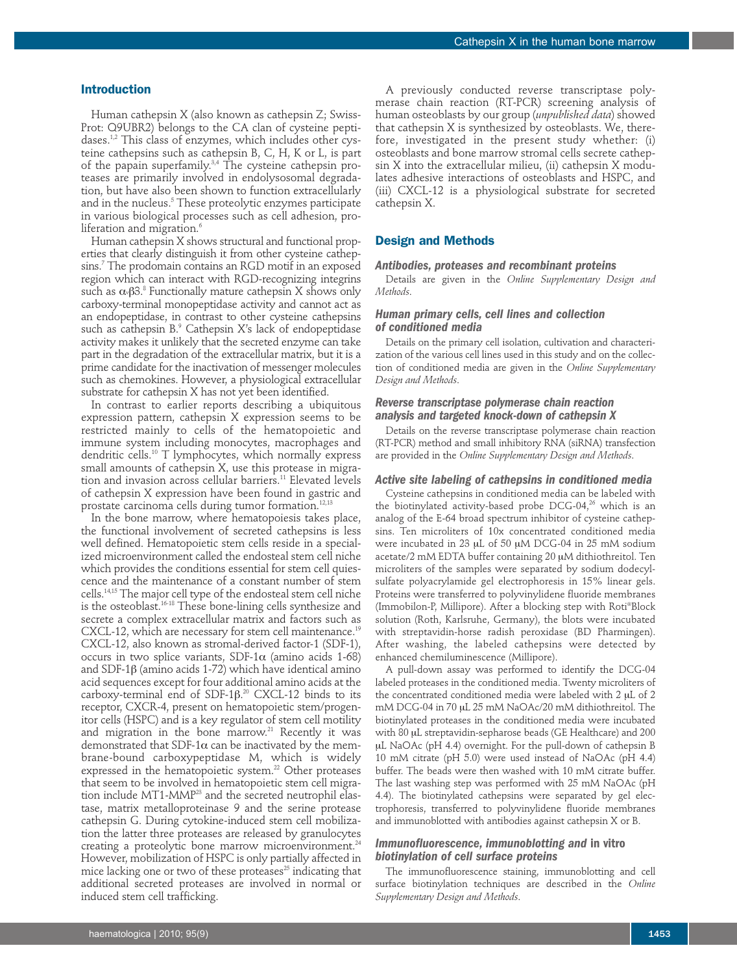#### **Introduction**

Human cathepsin X (also known as cathepsin Z; Swiss-Prot: Q9UBR2) belongs to the CA clan of cysteine peptidases. 1,2 This class of enzymes, which includes other cysteine cathepsins such as cathepsin B, C, H, K or L, is part of the papain superfamily. 3,4 The cysteine cathepsin proteases are primarily involved in endolysosomal degradation, but have also been shown to function extracellularly and in the nucleus. <sup>5</sup> These proteolytic enzymes participate in various biological processes such as cell adhesion, proliferation and migration. 6

Human cathepsin X shows structural and functional properties that clearly distinguish it from other cysteine cathepsins. <sup>7</sup> The prodomain contains an RGD motif in an exposed region which can interact with RGD-recognizing integrins such as  $\alpha$   $\beta$ 3. $^{\circ}$  Functionally mature cathepsin X shows only carboxy-terminal monopeptidase activity and cannot act as an endopeptidase, in contrast to other cysteine cathepsins such as cathepsin B. <sup>9</sup> Cathepsin X's lack of endopeptidase activity makes it unlikely that the secreted enzyme can take part in the degradation of the extracellular matrix, but it is a prime candidate for the inactivation of messenger molecules such as chemokines. However, a physiological extracellular substrate for cathepsin X has not yet been identified.

In contrast to earlier reports describing a ubiquitous expression pattern, cathepsin X expression seems to be restricted mainly to cells of the hematopoietic and immune system including monocytes, macrophages and dendritic cells. <sup>10</sup> T lymphocytes, which normally express small amounts of cathepsin X, use this protease in migration and invasion across cellular barriers. <sup>11</sup> Elevated levels of cathepsin X expression have been found in gastric and prostate carcinoma cells during tumor formation. $^{12,13}$ 

In the bone marrow, where hematopoiesis takes place, the functional involvement of secreted cathepsins is less well defined. Hematopoietic stem cells reside in a specialized microenvironment called the endosteal stem cell niche which provides the conditions essential for stem cell quiescence and the maintenance of a constant number of stem cells. 14,15 The major cell type of the endosteal stem cell niche is the osteoblast.<sup>16-18</sup> These bone-lining cells synthesize and secrete a complex extracellular matrix and factors such as CXCL-12, which are necessary for stem cell maintenance. 19 CXCL-12, also known as stromal-derived factor-1 (SDF-1), occurs in two splice variants, SDF-1 $\alpha$  (amino acids 1-68) and SDF-1 $\beta$  (amino acids 1-72) which have identical amino acid sequences except for four additional amino acids at the carboxy-terminal end of SDF-1 $\beta$ . $\rm ^{20}$  CXCL-12 binds to its receptor, CXCR-4, present on hematopoietic stem/progenitor cells (HSPC) and is a key regulator of stem cell motility and migration in the bone marrow. <sup>21</sup> Recently it was demonstrated that SDF-1 $\alpha$  can be inactivated by the membrane-bound carboxypeptidase M, which is widely expressed in the hematopoietic system. <sup>22</sup> Other proteases that seem to be involved in hematopoietic stem cell migration include MT1-MMP<sup>23</sup> and the secreted neutrophil elastase, matrix metalloproteinase 9 and the serine protease cathepsin G. During cytokine-induced stem cell mobilization the latter three proteases are released by granulocytes creating a proteolytic bone marrow microenvironment. 24 However, mobilization of HSPC is only partially affected in mice lacking one or two of these proteases <sup>25</sup> indicating that additional secreted proteases are involved in normal or induced stem cell trafficking.

A previously conducted reverse transcriptase polymerase chain reaction (RT-PCR) screening analysis of human osteoblasts by our group (*unpublished data*) showed that cathepsin X is synthesized by osteoblasts. We, therefore, investigated in the present study whether: (i) osteoblasts and bone marrow stromal cells secrete cathepsin X into the extracellular milieu, (ii) cathepsin X modulates adhesive interactions of osteoblasts and HSPC, and (iii) CXCL-12 is a physiological substrate for secreted cathepsin X.

#### **Design and Methods**

#### *Antibodies, proteases and recombinant proteins*

Details are given in the *Online Supplementary Design and Methods*.

# *Human primary cells, cell lines and collection of conditioned media*

Details on the primary cell isolation, cultivation and characterization of the various cell lines used in this study and on the collection of conditioned media are given in the *Online Supplementary Design and Methods*.

# *Reverse transcriptase polymerase chain reaction analysis and targeted knock-down of cathepsin X*

Details on the reverse transcriptase polymerase chain reaction (RT-PCR) method and small inhibitory RNA (siRNA) transfection are provided in the *Online Supplementary Design and Methods*.

#### *Active site labeling of cathepsins in conditioned media*

Cysteine cathepsins in conditioned media can be labeled with the biotinylated activity-based probe DCG-04, <sup>26</sup> which is an analog of the E-64 broad spectrum inhibitor of cysteine cathepsins. Ten microliters of 10x concentrated conditioned media were incubated in 23 µL of 50 µM DCG-04 in 25 mM sodium acetate/2 mM EDTA buffer containing 20 µM dithiothreitol. Ten microliters of the samples were separated by sodium dodecylsulfate polyacrylamide gel electrophoresis in 15% linear gels. Proteins were transferred to polyvinylidene fluoride membranes (Immobilon-P, Millipore). After a blocking step with Roti ®Block solution (Roth, Karlsruhe, Germany), the blots were incubated with streptavidin-horse radish peroxidase (BD Pharmingen). After washing, the labeled cathepsins were detected by enhanced chemiluminescence (Millipore).

A pull-down assay was performed to identify the DCG-04 labeled proteases in the conditioned media. Twenty microliters of the concentrated conditioned media were labeled with 2 µL of 2 mM DCG-04 in 70 µL 25 mM NaOAc/20 mM dithiothreitol. The biotinylated proteases in the conditioned media were incubated with 80 µL streptavidin-sepharose beads (GE Healthcare) and 200 µL NaOAc (pH 4.4) overnight. For the pull-down of cathepsin B 10 mM citrate (pH 5.0) were used instead of NaOAc (pH 4.4) buffer. The beads were then washed with 10 mM citrate buffer. The last washing step was performed with 25 mM NaOAc (pH 4.4). The biotinylated cathepsins were separated by gel electrophoresis, transferred to polyvinylidene fluoride membranes and immunoblotted with antibodies against cathepsin X or B.

# *Immunofluorescence, immunoblotting and* **in vitro** *biotinylation of cell surface proteins*

The immunofluorescence staining, immunoblotting and cell surface biotinylation techniques are described in the *Online Supplementary Design and Methods*.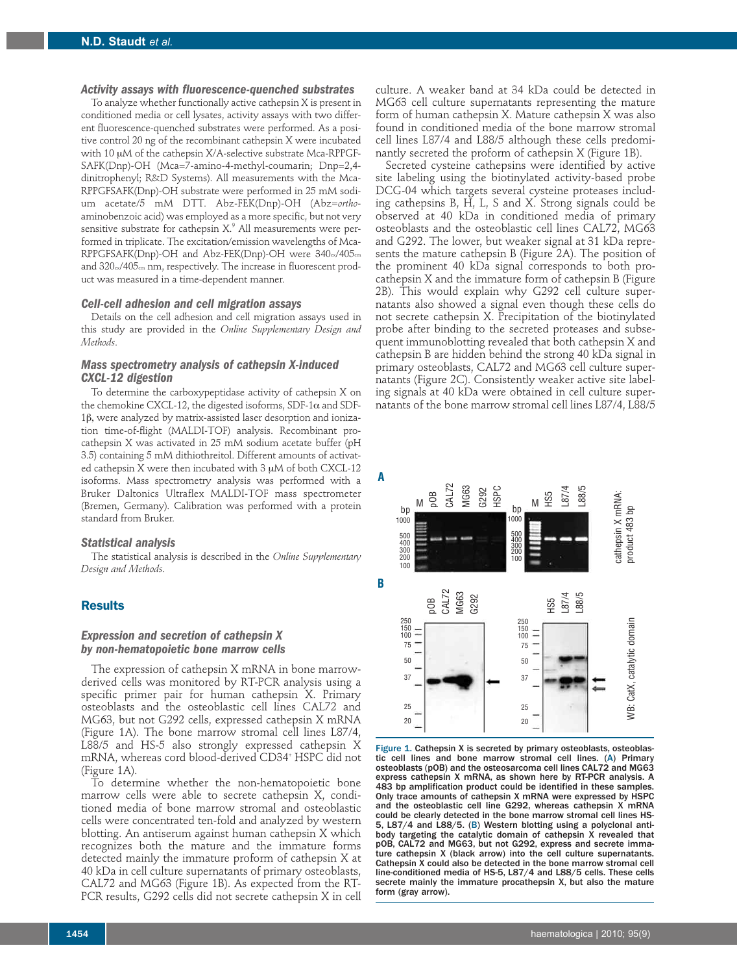#### *Activity assays with fluorescence-quenched substrates*

To analyze whether functionally active cathepsin X is present in conditioned media or cell lysates, activity assays with two different fluorescence-quenched substrates were performed. As a positive control 20 ng of the recombinant cathepsin X were incubated with 10 µM of the cathepsin X/A-selective substrate Mca-RPPGF-SAFK(Dnp)-OH (Mca=7-amino-4-methyl-coumarin; Dnp=2,4 dinitrophenyl; R&D Systems). All measurements with the Mca-RPPGFSAFK(Dnp)-OH substrate were performed in 25 mM sodium acetate/5 mM DTT. Abz-FEK(Dnp)-OH (Abz=*ortho*aminobenzoic acid) was employed as a more specific, but not very sensitive substrate for cathepsin  $X$ . $^9$  All measurements were performed in triplicate. The excitation/emission wavelengths of Mca-RPPGFSAFK(Dnp)-OH and Abz-FEK(Dnp)-OH were 340ex/405em and  $320$ <sub>ex</sub>/405<sub>em</sub> nm, respectively. The increase in fluorescent product was measured in a time-dependent manner.

### *Cell-cell adhesion and cell migration assays*

Details on the cell adhesion and cell migration assays used in this study are provided in the *Online Supplementary Design and Methods*.

# *Mass spectrometry analysis of cathepsin X-induced CXCL-12 digestion*

To determine the carboxypeptidase activity of cathepsin X on the chemokine CXCL-12, the digested isoforms, SDF-1 $\alpha$  and SDF- $1\beta$ , were analyzed by matrix-assisted laser desorption and ionization time-of-flight (MALDI-TOF) analysis. Recombinant procathepsin X was activated in 25 mM sodium acetate buffer (pH 3.5) containing 5 mM dithiothreitol. Different amounts of activated cathepsin X were then incubated with  $3 \mu M$  of both CXCL-12 isoforms. Mass spectrometry analysis was performed with a Bruker Daltonics Ultraflex MALDI-TOF mass spectrometer (Bremen, Germany). Calibration was performed with a protein standard from Bruker.

#### *Statistical analysis*

The statistical analysis is described in the *Online Supplementary Design and Methods*.

#### **Results**

# *Expression and secretion of cathepsin X by non-hematopoietic bone marrow cells*

The expression of cathepsin X mRNA in bone marrowderived cells was monitored by RT-PCR analysis using a specific primer pair for human cathepsin X. Primary osteoblasts and the osteoblastic cell lines CAL72 and MG63, but not G292 cells, expressed cathepsin X mRNA (Figure 1A). The bone marrow stromal cell lines L87/4, L88/5 and HS-5 also strongly expressed cathepsin X mRNA, whereas cord blood-derived CD34+ HSPC did not (Figure 1A).

To determine whether the non-hematopoietic bone marrow cells were able to secrete cathepsin X, conditioned media of bone marrow stromal and osteoblastic cells were concentrated ten-fold and analyzed by western blotting. An antiserum against human cathepsin X which recognizes both the mature and the immature forms detected mainly the immature proform of cathepsin X at 40 kDa in cell culture supernatants of primary osteoblasts, CAL72 and MG63 (Figure 1B). As expected from the RT-PCR results, G292 cells did not secrete cathepsin X in cell

culture. A weaker band at 34 kDa could be detected in MG63 cell culture supernatants representing the mature form of human cathepsin X. Mature cathepsin X was also found in conditioned media of the bone marrow stromal cell lines L87/4 and L88/5 although these cells predominantly secreted the proform of cathepsin X (Figure 1B).

Secreted cysteine cathepsins were identified by active site labeling using the biotinylated activity-based probe DCG-04 which targets several cysteine proteases including cathepsins B, H, L, S and X. Strong signals could be observed at 40 kDa in conditioned media of primary osteoblasts and the osteoblastic cell lines CAL72, MG63 and G292. The lower, but weaker signal at 31 kDa represents the mature cathepsin B (Figure 2A). The position of the prominent 40 kDa signal corresponds to both procathepsin X and the immature form of cathepsin B (Figure 2B). This would explain why G292 cell culture supernatants also showed a signal even though these cells do not secrete cathepsin X. Precipitation of the biotinylated probe after binding to the secreted proteases and subsequent immunoblotting revealed that both cathepsin X and cathepsin B are hidden behind the strong 40 kDa signal in primary osteoblasts, CAL72 and MG63 cell culture supernatants (Figure 2C). Consistently weaker active site labeling signals at 40 kDa were obtained in cell culture supernatants of the bone marrow stromal cell lines L87/4, L88/5



Figure 1. Cathepsin X is secreted by primary osteoblasts, osteoblastic cell lines and bone marrow stromal cell lines. (A) Primary osteoblasts (pOB) and the osteosarcoma cell lines CAL72 and MG63 express cathepsin X mRNA, as shown here by RT-PCR analysis. A 483 bp amplification product could be identified in these samples. Only trace amounts of cathepsin X mRNA were expressed by HSPC and the osteoblastic cell line G292, whereas cathepsin X mRNA could be clearly detected in the bone marrow stromal cell lines HS-5, L87/4 and L88/5. (B) Western blotting using a polyclonal antibody targeting the catalytic domain of cathepsin X revealed that pOB, CAL72 and MG63, but not G292, express and secrete immature cathepsin X (black arrow) into the cell culture supernatants. Cathepsin X could also be detected in the bone marrow stromal cell line-conditioned media of HS-5, L87/4 and L88/5 cells. These cells secrete mainly the immature procathepsin X, but also the mature form (gray arrow).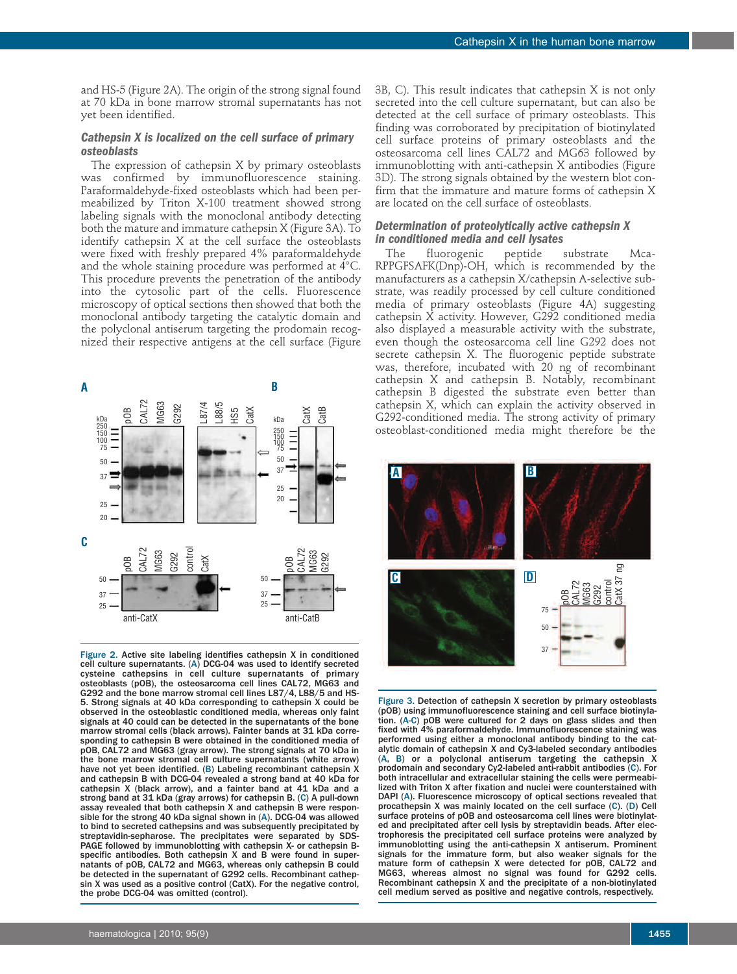and HS-5 (Figure 2A). The origin of the strong signal found at 70 kDa in bone marrow stromal supernatants has not yet been identified.

# *Cathepsin X is localized on the cell surface of primary osteoblasts*

The expression of cathepsin X by primary osteoblasts was confirmed by immunofluorescence staining. Paraformaldehyde-fixed osteoblasts which had been permeabilized by Triton X-100 treatment showed strong labeling signals with the monoclonal antibody detecting both the mature and immature cathepsin X (Figure 3A). To identify cathepsin X at the cell surface the osteoblasts were fixed with freshly prepared 4% paraformaldehyde and the whole staining procedure was performed at 4°C. This procedure prevents the penetration of the antibody into the cytosolic part of the cells. Fluorescence microscopy of optical sections then showed that both the monoclonal antibody targeting the catalytic domain and the polyclonal antiserum targeting the prodomain recognized their respective antigens at the cell surface (Figure



Figure 2. Active site labeling identifies cathepsin X in conditioned cell culture supernatants.  $(A)$  DCG-04 was used to identify secreted cysteine cathepsins in cell culture supernatants of primary osteoblasts (pOB), the osteosarcoma cell lines CAL72, MG63 and G292 and the bone marrow stromal cell lines L87/4, L88/5 and HS-5. Strong signals at 40 kDa corresponding to cathepsin X could be observed in the osteoblastic conditioned media, whereas only faint signals at 40 could can be detected in the supernatants of the bone marrow stromal cells (black arrows). Fainter bands at 31 kDa corresponding to cathepsin B were obtained in the conditioned media of pOB, CAL72 and MG63 (gray arrow). The strong signals at 70 kDa in the bone marrow stromal cell culture supernatants (white arrow) have not yet been identified. (B) Labeling recombinant cathepsin X and cathepsin B with DCG-04 revealed a strong band at 40 kDa for cathepsin X (black arrow), and a fainter band at 41 kDa and a strong band at 31 kDa (gray arrows) for cathepsin B. (C) A pull-down assay revealed that both cathepsin X and cathepsin B were responsible for the strong 40 kDa signal shown in (A). DCG-04 was allowed to bind to secreted cathepsins and was subsequently precipitated by streptavidin-sepharose. The precipitates were separated by SDS-PAGE followed by immunoblotting with cathepsin X- or cathepsin Bspecific antibodies. Both cathepsin X and B were found in supernatants of pOB, CAL72 and MG63, whereas only cathepsin B could be detected in the supernatant of G292 cells. Recombinant cathepsin <sup>X</sup> was used as <sup>a</sup> positive control (CatX). For the negative control, the probe DCG-04 was omitted (control).

3B, C). This result indicates that cathepsin X is not only secreted into the cell culture supernatant, but can also be detected at the cell surface of primary osteoblasts. This finding was corroborated by precipitation of biotinylated cell surface proteins of primary osteoblasts and the osteosarcoma cell lines CAL72 and MG63 followed by immunoblotting with anti-cathepsin X antibodies (Figure 3D). The strong signals obtained by the western blot confirm that the immature and mature forms of cathepsin X are located on the cell surface of osteoblasts.

# *Determination of proteolytically active cathepsin X in conditioned media and cell lysates*

The fluorogenic peptide substrate Mca-RPPGFSAFK(Dnp)-OH, which is recommended by the manufacturers as a cathepsin X/cathepsin A-selective substrate, was readily processed by cell culture conditioned media of primary osteoblasts (Figure 4A) suggesting cathepsin X activity. However, G292 conditioned media also displayed a measurable activity with the substrate, even though the osteosarcoma cell line G292 does not secrete cathepsin X. The fluorogenic peptide substrate was, therefore, incubated with 20 ng of recombinant cathepsin X and cathepsin B. Notably, recombinant cathepsin B digested the substrate even better than cathepsin X, which can explain the activity observed in G292-conditioned media. The strong activity of primary osteoblast-conditioned media might therefore be the



Figure 3. Detection of cathepsin X secretion by primary osteoblasts (pOB) using immunofluorescence staining and cell surface biotinylation. (A-C) pOB were cultured for 2 days on glass slides and then fixed with 4% paraformaldehyde. Immunofluorescence staining was performed using either a monoclonal antibody binding to the catalytic domain of cathepsin X and Cy3-labeled secondary antibodies (A, B) or a polyclonal antiserum targeting the cathepsin X prodomain and secondary Cy2-labeled anti-rabbit antibodies (C). For both intracellular and extracellular staining the cells were permeabilized with Triton X after fixation and nuclei were counterstained with DAPI (A). Fluorescence microscopy of optical sections revealed that procathepsin X was mainly located on the cell surface (C). (D) Cell surface proteins of pOB and osteosarcoma cell lines were biotinylated and precipitated after cell lysis by streptavidin beads. After electrophoresis the precipitated cell surface proteins were analyzed by immunoblotting using the anti-cathepsin X antiserum. Prominent signals for the immature form, but also weaker signals for the mature form of cathepsin X were detected for pOB, CAL72 and MG63, whereas almost no signal was found for G292 cells. Recombinant cathepsin X and the precipitate of a non-biotinylated cell medium served as positive and negative controls, respectively.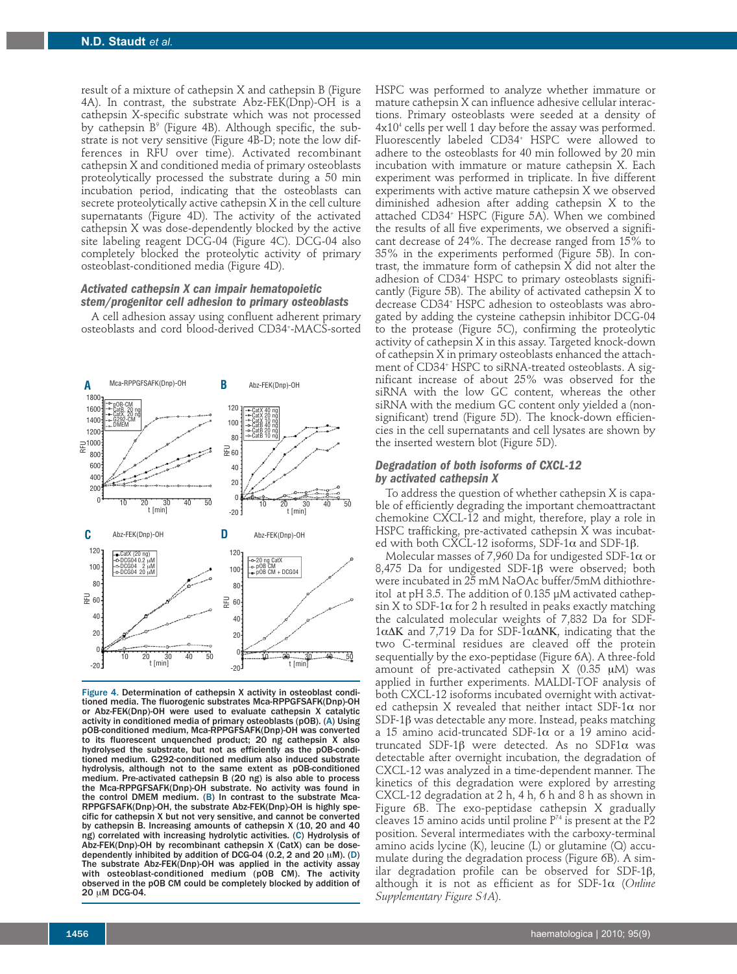result of a mixture of cathepsin X and cathepsin B (Figure 4A). In contrast, the substrate Abz-FEK(Dnp)-OH is a cathepsin X-specific substrate which was not processed by cathepsin  $B^9$  (Figure 4B). Although specific, the substrate is not very sensitive (Figure 4B-D; note the low differences in RFU over time). Activated recombinant cathepsin X and conditioned media of primary osteoblasts proteolytically processed the substrate during a 50 min incubation period, indicating that the osteoblasts can secrete proteolytically active cathepsin X in the cell culture supernatants (Figure 4D). The activity of the activated cathepsin X was dose-dependently blocked by the active site labeling reagent DCG-04 (Figure 4C). DCG-04 also completely blocked the proteolytic activity of primary osteoblast-conditioned media (Figure 4D).

# *Activated cathepsin X can impair hematopoietic stem/progenitor cell adhesion to primary osteoblasts*

A cell adhesion assay using confluent adherent primary osteoblasts and cord blood-derived CD34+ -MACS-sorted



Figure 4. Determination of cathepsin X activity in osteoblast conditioned media. The fluorogenic substrates Mca-RPPGFSAFK(Dnp)-OH or Abz-FEK(Dnp)-OH were used to evaluate cathepsin X catalytic activity in conditioned media of primary osteoblasts (pOB). (A) Using pOB-conditioned medium, Mca-RPPGFSAFK(Dnp)-OH was converted to its fluorescent unquenched product; 20 ng cathepsin X also hydrolysed the substrate, but not as efficiently as the pOB-conditioned medium. G292-conditioned medium also induced substrate hydrolysis, although not to the same extent as pOB-conditioned medium. Pre-activated cathepsin B (20 ng) is also able to process the Mca-RPPGFSAFK(Dnp)-OH substrate. No activity was found in the control DMEM medium. (B) In contrast to the substrate Mca-RPPGFSAFK(Dnp)-OH, the substrate Abz-FEK(Dnp)-OH is highly specific for cathepsin X but not very sensitive, and cannot be converted by cathepsin B. Increasing amounts of cathepsin X (10, 20 and 40 ng) correlated with increasing hydrolytic activities. (C) Hydrolysis of Abz-FEK(Dnp)-OH by recombinant cathepsin X (CatX) can be dosedependently inhibited by addition of DCG-04 (0.2, 2 and 20  $\mu$ M). (D) The substrate Abz-FEK(Dnp)-OH was applied in the activity assay with osteoblast-conditioned medium (pOB CM). The activity observed in the pOB CM could be completely blocked by addition of 20 µM DCG-04.

HSPC was performed to analyze whether immature or mature cathepsin X can influence adhesive cellular interactions. Primary osteoblasts were seeded at a density of 4x10<sup>4</sup> cells per well 1 day before the assay was performed. Fluorescently labeled CD34<sup>+</sup> HSPC were allowed to adhere to the osteoblasts for 40 min followed by 20 min incubation with immature or mature cathepsin X. Each experiment was performed in triplicate. In five different experiments with active mature cathepsin X we observed diminished adhesion after adding cathepsin X to the attached CD34+ HSPC (Figure 5A). When we combined the results of all five experiments, we observed a significant decrease of 24%. The decrease ranged from 15% to 35% in the experiments performed (Figure 5B). In contrast, the immature form of cathepsin X did not alter the adhesion of CD34+ HSPC to primary osteoblasts significantly (Figure 5B). The ability of activated cathepsin X to decrease CD34+ HSPC adhesion to osteoblasts was abrogated by adding the cysteine cathepsin inhibitor DCG-04 to the protease (Figure 5C), confirming the proteolytic activity of cathepsin X in this assay. Targeted knock-down of cathepsin X in primary osteoblasts enhanced the attachment of CD34+ HSPC to siRNA-treated osteoblasts. A significant increase of about 25% was observed for the siRNA with the low GC content, whereas the other siRNA with the medium GC content only yielded a (nonsignificant) trend (Figure 5D). The knock-down efficiencies in the cell supernatants and cell lysates are shown by the inserted western blot (Figure 5D).

# *Degradation of both isoforms of CXCL-12 by activated cathepsin X*

To address the question of whether cathepsin X is capable of efficiently degrading the important chemoattractant chemokine CXCL-12 and might, therefore, play a role in HSPC trafficking, pre-activated cathepsin X was incubated with both CXCL-12 isoforms,  $SDF-1\alpha$  and  $SDF-1\beta$ .

Molecular masses of 7,960 Da for undigested SDF-1 $\alpha$  or 8,475 Da for undigested SDF-1 $\beta$  were observed; both were incubated in 25 mM NaOAc buffer/5mM dithiothreitol at pH 3.5. The addition of 0.135 µM activated cathepsin X to SDF-1 $\alpha$  for 2 h resulted in peaks exactly matching the calculated molecular weights of 7,832 Da for SDF-1αΔΚ and 7,719 Da for SDF-1αΔΝΚ, indicating that the two C-terminal residues are cleaved off the protein sequentially by the exo-peptidase (Figure 6A). A three-fold amount of pre-activated cathepsin  $X$  (0.35  $\mu$ M) was applied in further experiments. MALDI-TOF analysis of both CXCL-12 isoforms incubated overnight with activated cathepsin X revealed that neither intact SDF-1α nor  $SDF-1\beta$  was detectable any more. Instead, peaks matching a 15 amino acid-truncated SDF-1α or a 19 amino acidtruncated SDF-1b were detected. As no SDF1α was detectable after overnight incubation, the degradation of CXCL-12 was analyzed in a time-dependent manner. The kinetics of this degradation were explored by arresting CXCL-12 degradation at 2 h, 4 h, 6 h and 8 h as shown in Figure 6B. The exo-peptidase cathepsin X gradually cleaves 15 amino acids until proline  $P<sup>74</sup>$  is present at the P2 position. Several intermediates with the carboxy-terminal amino acids lycine (K), leucine (L) or glutamine (Q) accumulate during the degradation process (Figure 6B). A similar degradation profile can be observed for SDF-1 $\beta$ , although it is not as efficient as for SDF-1α (*Online Supplementary Figure S1A*).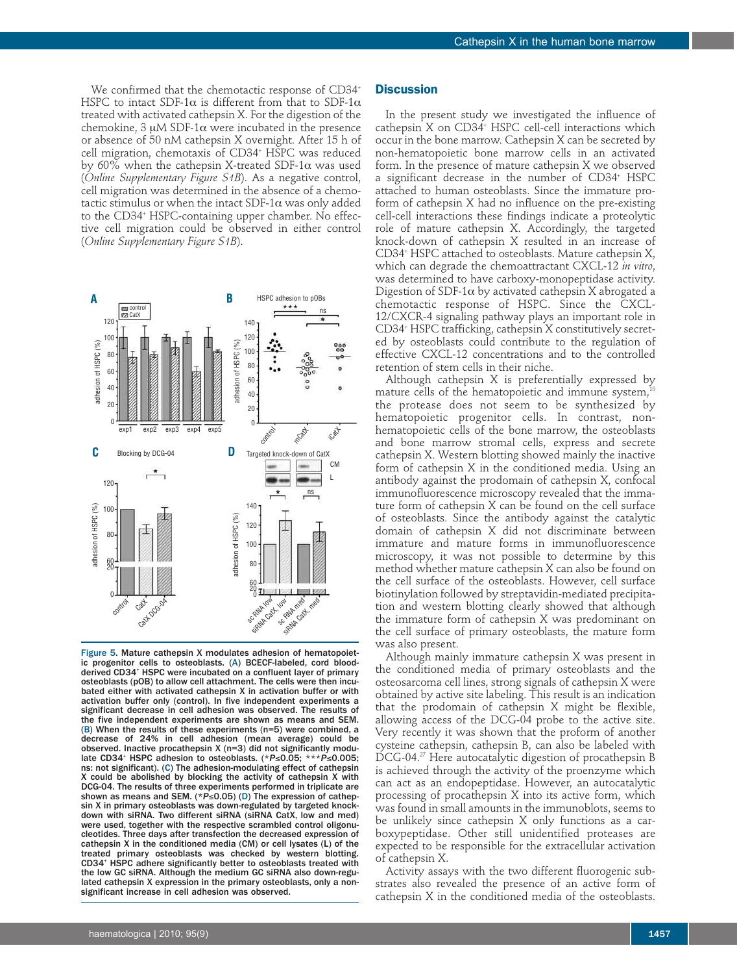We confirmed that the chemotactic response of CD34<sup>+</sup> HSPC to intact SDF-1 $\alpha$  is different from that to SDF-1 $\alpha$ treated with activated cathepsin X. For the digestion of the chemokine,  $3 \mu M$  SDF-1 $\alpha$  were incubated in the presence or absence of 50 nM cathepsin X overnight. After 15 h of cell migration, chemotaxis of CD34+ HSPC was reduced by 60% when the cathepsin X-treated SDF-1α was used (*Online Supplementary Figure S1B*). As a negative control, cell migration was determined in the absence of a chemotactic stimulus or when the intact SDF-1 $\alpha$  was only added to the CD34<sup>+</sup> HSPC-containing upper chamber. No effective cell migration could be observed in either control (*Online Supplementary Figure S1B*).



Figure 5. Mature cathepsin X modulates adhesion of hematopoietic progenitor cells to osteoblasts. (A) BCECF-labeled, cord bloodderived CD34+ HSPC were incubated on a confluent layer of primary osteoblasts (pOB) to allow cell attachment. The cells were then incubated either with activated cathepsin X in activation buffer or with activation buffer only (control). In five independent experiments a significant decrease in cell adhesion was observed. The results of the five independent experiments are shown as means and SEM. (B) When the results of these experiments (n=5) were combined, a decrease of 24% in cell adhesion (mean average) could be observed. Inactive procathepsin X (n=3) did not significantly modulate CD34+ HSPC adhesion to osteoblasts. (\**P*≤0.05; \*\*\**P*≤0.005; ns: not significant). (C) The adhesion-modulating effect of cathepsin X could be abolished by blocking the activity of cathepsin X with DCG-04. The results of three experiments performed in triplicate are shown as means and SEM. (\**P*≤0.05) (D) The expression of cathepsin X in primary osteoblasts was down-regulated by targeted knockdown with siRNA. Two different siRNA (siRNA CatX, low and med) were used, together with the respective scrambled control oligonucleotides. Three days after transfection the decreased expression of cathepsin X in the conditioned media (CM) or cell lysates (L) of the treated primary osteoblasts was checked by western blotting. CD34+ HSPC adhere significantly better to osteoblasts treated with the low GC siRNA. Although the medium GC siRNA also down-regulated cathepsin X expression in the primary osteoblasts, only a nonsignificant increase in cell adhesion was observed.

#### **Discussion**

In the present study we investigated the influence of cathepsin X on CD34+ HSPC cell-cell interactions which occur in the bone marrow. Cathepsin X can be secreted by non-hematopoietic bone marrow cells in an activated form. In the presence of mature cathepsin X we observed a significant decrease in the number of CD34<sup>+</sup> HSPC attached to human osteoblasts. Since the immature proform of cathepsin X had no influence on the pre-existing cell-cell interactions these findings indicate a proteolytic role of mature cathepsin X. Accordingly, the targeted knock-down of cathepsin X resulted in an increase of CD34+ HSPC attached to osteoblasts. Mature cathepsin X, which can degrade the chemoattractant CXCL-12 *in vitro*, was determined to have carboxy-monopeptidase activity. Digestion of SDF-1 $\alpha$  by activated cathepsin X abrogated a chemotactic response of HSPC. Since the CXCL-12/CXCR-4 signaling pathway plays an important role in CD34+ HSPC trafficking, cathepsin X constitutively secreted by osteoblasts could contribute to the regulation of effective CXCL-12 concentrations and to the controlled retention of stem cells in their niche.

Although cathepsin X is preferentially expressed by mature cells of the hematopoietic and immune system, $^{\rm 10}$ the protease does not seem to be synthesized by hematopoietic progenitor cells. In contrast, nonhematopoietic cells of the bone marrow, the osteoblasts and bone marrow stromal cells, express and secrete cathepsin X. Western blotting showed mainly the inactive form of cathepsin X in the conditioned media. Using an antibody against the prodomain of cathepsin X, confocal immunofluorescence microscopy revealed that the immature form of cathepsin X can be found on the cell surface of osteoblasts. Since the antibody against the catalytic domain of cathepsin X did not discriminate between immature and mature forms in immunofluorescence microscopy, it was not possible to determine by this method whether mature cathepsin X can also be found on the cell surface of the osteoblasts. However, cell surface biotinylation followed by streptavidin-mediated precipitation and western blotting clearly showed that although the immature form of cathepsin X was predominant on the cell surface of primary osteoblasts, the mature form was also present.

Although mainly immature cathepsin X was present in the conditioned media of primary osteoblasts and the osteosarcoma cell lines, strong signals of cathepsin X were obtained by active site labeling. This result is an indication that the prodomain of cathepsin X might be flexible, allowing access of the DCG-04 probe to the active site. Very recently it was shown that the proform of another cysteine cathepsin, cathepsin B, can also be labeled with DCG-04. <sup>27</sup> Here autocatalytic digestion of procathepsin B is achieved through the activity of the proenzyme which can act as an endopeptidase. However, an autocatalytic processing of procathepsin X into its active form, which was found in small amounts in the immunoblots, seems to be unlikely since cathepsin X only functions as a carboxypeptidase. Other still unidentified proteases are expected to be responsible for the extracellular activation of cathepsin X.

Activity assays with the two different fluorogenic substrates also revealed the presence of an active form of cathepsin X in the conditioned media of the osteoblasts.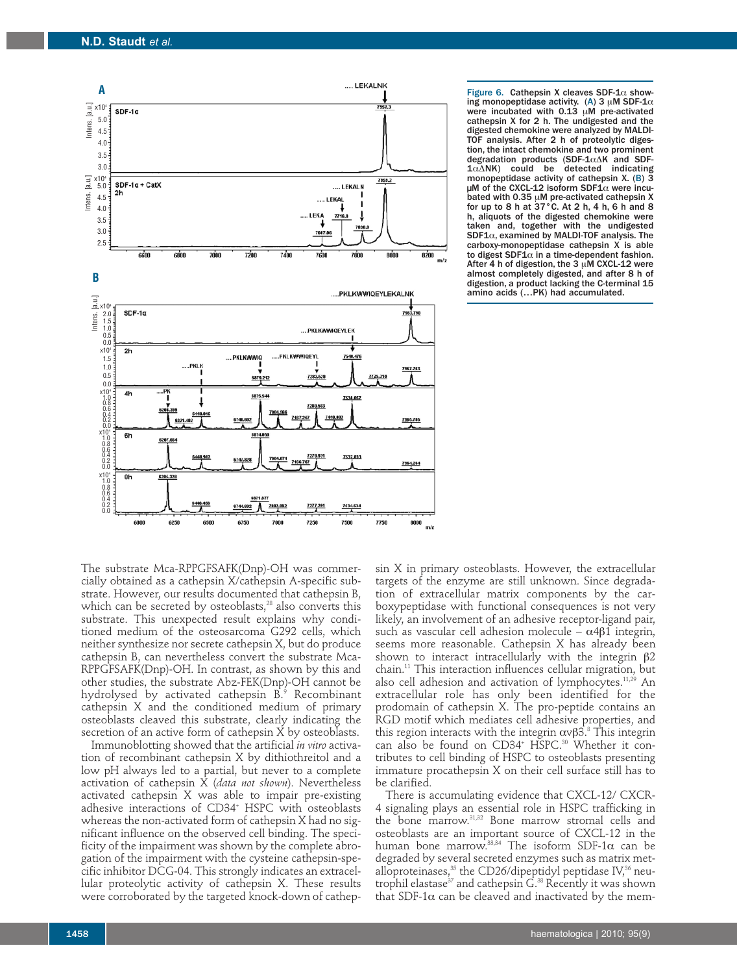

Figure 6. Cathepsin X cleaves SDF-1 $\alpha$  showing monopeptidase activity. (A) 3  $\mu$ M SDF-1 $\alpha$ were incubated with  $0.13$   $\mu$ M pre-activated<br>cathepsin X for 2 h. The undigested and the digested chemokine were analyzed by MALDI-TOF analysis. After 2 h of proteolytic digestion, the intact chemokine and two prominent degradation products (SDF-1αΔK and SDF-1αΔNK) could be detected indicating monopeptidase activity of cathepsin X. (B) 3  $\mu$ M of the CXCL-12 isoform SDF1 $\alpha$  were incubated with 0.35  $\mu$ M pre-activated cathepsin X for up to 8 h at 37°C. At 2 h, 4 h, 6 h and 8 h, aliquots of the digested chemokine were taken and, together with the undigested SDF1α, examined by MALDI-TOF analysis. The carboxy-monopeptidase cathepsin X is able to digest SDF1 $\alpha$  in a time-dependent fashion. After 4 h of digestion, the 3  $\mu$ M CXCL-12 were almost completely digested, and after 8 h of digestion, a product lacking the C-terminal 15 amino acids (…PK) had accumulated.

The substrate Mca-RPPGFSAFK(Dnp)-OH was commercially obtained as a cathepsin X/cathepsin A-specific substrate. However, our results documented that cathepsin B, which can be secreted by osteoblasts, <sup>28</sup> also converts this substrate. This unexpected result explains why conditioned medium of the osteosarcoma G292 cells, which neither synthesize nor secrete cathepsin X, but do produce cathepsin B, can nevertheless convert the substrate Mca-RPPGFSAFK(Dnp)-OH. In contrast, as shown by this and other studies, the substrate Abz-FEK(Dnp)-OH cannot be hydrolysed by activated cathepsin B. <sup>9</sup> Recombinant cathepsin X and the conditioned medium of primary osteoblasts cleaved this substrate, clearly indicating the secretion of an active form of cathepsin X by osteoblasts.

Immunoblotting showed that the artificial *in vitro* activation of recombinant cathepsin X by dithiothreitol and a low pH always led to a partial, but never to a complete activation of cathepsin X (*data not shown*). Nevertheless activated cathepsin X was able to impair pre-existing adhesive interactions of CD34<sup>+</sup> HSPC with osteoblasts whereas the non-activated form of cathepsin X had no significant influence on the observed cell binding. The specificity of the impairment was shown by the complete abrogation of the impairment with the cysteine cathepsin-specific inhibitor DCG-04. This strongly indicates an extracellular proteolytic activity of cathepsin X. These results were corroborated by the targeted knock-down of cathep-

sin X in primary osteoblasts. However, the extracellular targets of the enzyme are still unknown. Since degradation of extracellular matrix components by the carboxypeptidase with functional consequences is not very likely, an involvement of an adhesive receptor-ligand pair, such as vascular cell adhesion molecule –  $\alpha$ 4 $\beta$ 1 integrin, seems more reasonable. Cathepsin X has already been shown to interact intracellularly with the integrin  $\beta$ 2 chain. <sup>11</sup> This interaction influences cellular migration, but also cell adhesion and activation of lymphocytes.<sup>11,29</sup> An extracellular role has only been identified for the prodomain of cathepsin X. The pro-peptide contains an RGD motif which mediates cell adhesive properties, and this region interacts with the integrin  $\alpha$ νβ3. $^{\circ}$  This integrin can also be found on CD34+ HSPC. <sup>30</sup> Whether it contributes to cell binding of HSPC to osteoblasts presenting immature procathepsin X on their cell surface still has to be clarified.

There is accumulating evidence that CXCL-12/ CXCR-4 signaling plays an essential role in HSPC trafficking in the bone marrow. 31,32 Bone marrow stromal cells and osteoblasts are an important source of CXCL-12 in the human bone marrow. $^{33,34}$  The isoform SDF-1α can be degraded by several secreted enzymes such as matrix metalloproteinases, <sup>35</sup> the CD26/dipeptidyl peptidase IV, <sup>36</sup> neutrophil elastase $^{\text{37}}$  and cathepsin G. $^{\text{38}}$  Recently it was shown that SDF-1 $α$  can be cleaved and inactivated by the mem-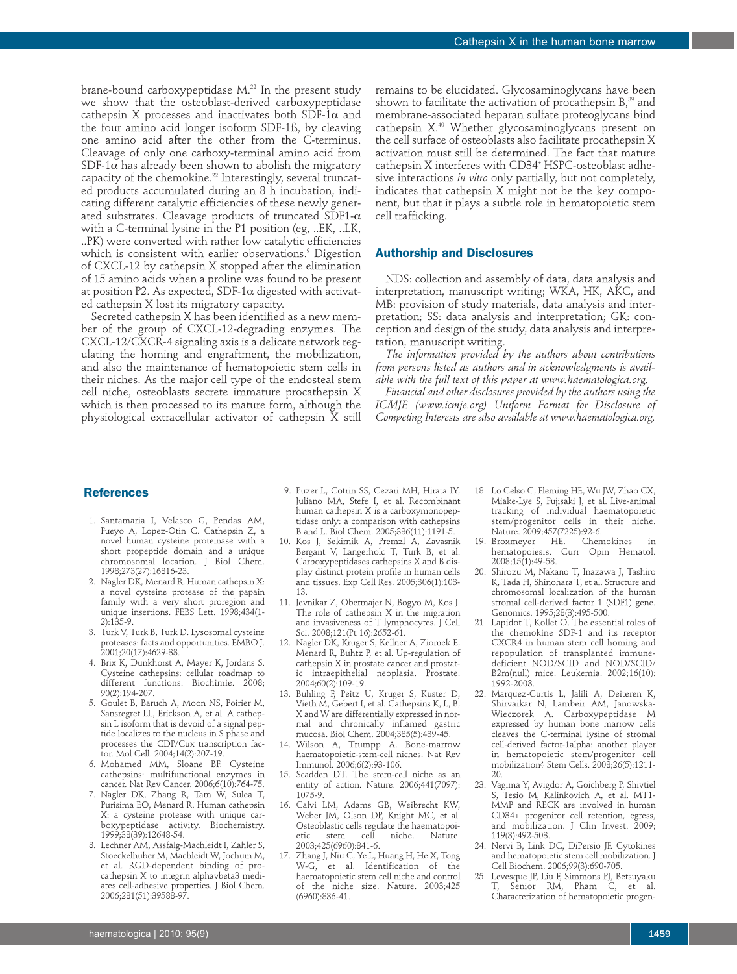brane-bound carboxypeptidase M. <sup>22</sup> In the present study we show that the osteoblast-derived carboxypeptidase cathepsin X processes and inactivates both SDF-1 $\alpha$  and the four amino acid longer isoform SDF-1ß, by cleaving one amino acid after the other from the C-terminus. Cleavage of only one carboxy-terminal amino acid from SDF-1 $\alpha$  has already been shown to abolish the migratory capacity of the chemokine. <sup>22</sup> Interestingly, several truncated products accumulated during an 8 h incubation, indicating different catalytic efficiencies of these newly generated substrates. Cleavage products of truncated SDF1- $\alpha$ with a C-terminal lysine in the P1 position (eg, ..EK, ..LK, ..PK) were converted with rather low catalytic efficiencies which is consistent with earlier observations. <sup>9</sup> Digestion of CXCL-12 by cathepsin X stopped after the elimination of 15 amino acids when a proline was found to be present at position P2. As expected, SDF-1 $\alpha$  digested with activated cathepsin X lost its migratory capacity.

Secreted cathepsin X has been identified as a new member of the group of CXCL-12-degrading enzymes. The CXCL-12/CXCR-4 signaling axis is a delicate network regulating the homing and engraftment, the mobilization, and also the maintenance of hematopoietic stem cells in their niches. As the major cell type of the endosteal stem cell niche, osteoblasts secrete immature procathepsin X which is then processed to its mature form, although the physiological extracellular activator of cathepsin X still remains to be elucidated. Glycosaminoglycans have been shown to facilitate the activation of procathepsin B, <sup>39</sup> and membrane-associated heparan sulfate proteoglycans bind cathepsin X. <sup>40</sup> Whether glycosaminoglycans present on the cell surface of osteoblasts also facilitate procathepsin X activation must still be determined. The fact that mature cathepsin X interferes with CD34+ HSPC-osteoblast adhesive interactions *in vitro* only partially, but not completely, indicates that cathepsin X might not be the key component, but that it plays a subtle role in hematopoietic stem cell trafficking.

# **Authorship and Disclosures**

NDS: collection and assembly of data, data analysis and interpretation, manuscript writing; WKA, HK, AKC, and MB: provision of study materials, data analysis and interpretation; SS: data analysis and interpretation; GK: conception and design of the study, data analysis and interpretation, manuscript writing.

*The information provided by the authors about contributions from persons listed as authors and in acknowledgments is available with the full text of this paper at www.haematologica.org.*

*Financial and other disclosures provided by the authors using the ICMJE (www.icmje.org) Uniform Format for Disclosure of Competing Interests are also available at www.haematologica.org.*

#### **References**

- 1. Santamaria I, Velasco G, Pendas AM, Fueyo A, Lopez-Otin C. Cathepsin Z, a novel human cysteine proteinase with a short propeptide domain and a unique chromosomal location. J Biol Chem. 1998;273(27):16816-23.
- 2. Nagler DK, Menard R. Human cathepsin X: a novel cysteine protease of the papain family with a very short proregion and unique insertions. FEBS Lett. 1998;434(1- 2):135-9.
- 3. Turk V, Turk B, Turk D. Lysosomal cysteine proteases: facts and opportunities. EMBO J. 2001;20(17):4629-33.
- 4. Brix K, Dunkhorst A, Mayer K, Jordans S. Cysteine cathepsins: cellular roadmap to different functions. Biochimie. 2008; 90(2):194-207.
- 5. Goulet B, Baruch A, Moon NS, Poirier M, Sansregret LL, Erickson A, et al. A cathepsin L isoform that is devoid of a signal peptide localizes to the nucleus in S phase and processes the CDP/Cux transcription factor. Mol Cell. 2004;14(2):207-19.
- 6. Mohamed MM, Sloane BF. Cysteine cathepsins: multifunctional enzymes in cancer. Nat Rev Cancer. 2006;6(10):764-75.
- 7. Nagler DK, Zhang R, Tam W, Sulea T, Purisima EO, Menard R. Human cathepsin X: a cysteine protease with unique carboxypeptidase activity. Biochemistry. 1999;38(39):12648-54.
- 8. Lechner AM, Assfalg-Machleidt I, Zahler S, Stoeckelhuber M, Machleidt W, Jochum M, et al. RGD-dependent binding of procathepsin X to integrin alphavbeta3 mediates cell-adhesive properties. J Biol Chem. 2006;281(51):39588-97.
- 9. Puzer L, Cotrin SS, Cezari MH, Hirata IY, Juliano MA, Stefe I, et al. Recombinant human cathepsin X is a carboxymonopeptidase only: a comparison with cathepsins B and L. Biol Chem. 2005;386(11):1191-5.
- 10. Kos J, Sekirnik A, Premzl A, Zavasnik Bergant V, Langerholc T, Turk B, et al. Carboxypeptidases cathepsins X and B display distinct protein profile in human cells and tissues. Exp Cell Res. 2005;306(1):103- 13.
- 11. Jevnikar Z, Obermajer N, Bogyo M, Kos J. The role of cathepsin X in the migration and invasiveness of T lymphocytes. J Cell Sci. 2008;121(Pt 16):2652-61.
- 12. Nagler DK, Kruger S, Kellner A, Ziomek E, Menard R, Buhtz P, et al. Up-regulation of cathepsin X in prostate cancer and prostatic intraepithelial neoplasia. Prostate. 2004;60(2):109-19.
- 13. Buhling F, Peitz U, Kruger S, Kuster D, Vieth M, Gebert I, et al. Cathepsins K, L, B, X and W are differentially expressed in normal and chronically inflamed gastric mucosa. Biol Chem. 2004;385(5):439-45.
- 14. Wilson A, Trumpp A. Bone-marrow haematopoietic-stem-cell niches. Nat Rev Immunol. 2006;6(2):93-106.
- 15. Scadden DT. The stem-cell niche as an entity of action. Nature. 2006;441(7097): 1075-9.
- 16. Calvi LM, Adams GB, Weibrecht KW, Weber JM, Olson DP, Knight MC, et al. Osteoblastic cells regulate the haematopoietic stem cell niche. Nature. 2003;425(6960):841-6.
- 17. Zhang J, Niu C, Ye L, Huang H, He X, Tong W-G, et al. Identification of the haematopoietic stem cell niche and control of the niche size. Nature. 2003;425 (6960):836-41.
- 18. Lo Celso C, Fleming HE, Wu JW, Zhao CX, Miake-Lye S, Fujisaki J, et al. Live-animal tracking of individual haematopoietic stem/progenitor cells in their niche. Nature. 2009;457(7225):92-6.<br>19. Broxmeyer HE. Chemokines
- 19. Broxmeyer HE. Chemokines in hematopoiesis. Curr Opin Hematol.  $2008;15(1):49-58.$
- 20. Shirozu M, Nakano T, Inazawa J, Tashiro K, Tada H, Shinohara T, et al. Structure and chromosomal localization of the human stromal cell-derived factor 1 (SDF1) gene. Genomics. 1995;28(3):495-500.
- 21. Lapidot T, Kollet O. The essential roles of the chemokine SDF-1 and its receptor CXCR4 in human stem cell homing and repopulation of transplanted immunedeficient NOD/SCID and NOD/SCID/ B2m(null) mice. Leukemia. 2002;16(10): 1992-2003.
- 22. Marquez-Curtis L, Jalili A, Deiteren K, Shirvaikar N, Lambeir AM, Janowska-Wieczorek A. Carboxypeptidase M expressed by human bone marrow cells cleaves the C-terminal lysine of stromal cell-derived factor-1alpha: another player in hematopoietic stem/progenitor cell mobilization? Stem Cells. 2008;26(5):1211- 20.
- 23. Vagima Y, Avigdor A, Goichberg P, Shivtiel S, Tesio M, Kalinkovich A, et al. MT1- MMP and RECK are involved in human CD34+ progenitor cell retention, egress, and mobilization. J Clin Invest. 2009; 119(3):492-503.
- 24. Nervi B, Link DC, DiPersio JF. Cytokines and hematopoietic stem cell mobilization. J Cell Biochem. 2006;99(3):690-705.
- 25. Levesque JP, Liu F, Simmons PJ, Betsuyaku T, Senior RM, Pham C, et al. Characterization of hematopoietic progen-